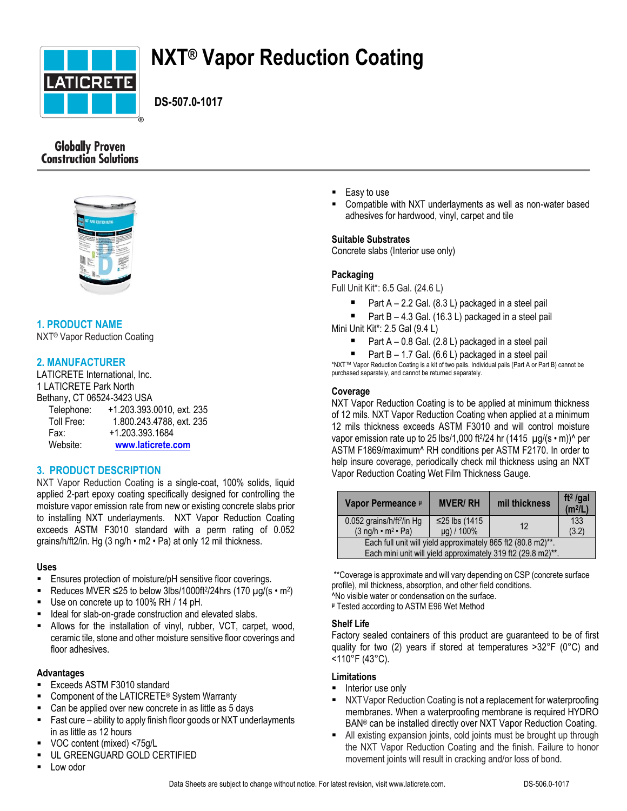

# **NXT® Vapor Reduction Coating**

 **DS-507.0-1017**

# **Globally Proven Construction Solutions**



# **1. PRODUCT NAME**

NXT® Vapor Reduction Coating

# **2. MANUFACTURER**

LATICRETE International, Inc. 1 LATICRETE Park North Bethany, CT 06524-3423 USA Telephone: +1.203.393.0010, ext. 235 Toll Free: 1.800.243.4788, ext. 235 Fax: +1.203.393.1684 Website: **[www.laticrete.com](http://www.laticrete.com/)**

# **3. PRODUCT DESCRIPTION**

NXT Vapor Reduction Coating is a single-coat, 100% solids, liquid applied 2-part epoxy coating specifically designed for controlling the moisture vapor emission rate from new or existing concrete slabs prior to installing NXT underlayments. NXT Vapor Reduction Coating exceeds ASTM F3010 standard with a perm rating of 0.052 grains/h/ft2/in. Hg (3 ng/h • m2 • Pa) at only 12 mil thickness.

# **Uses**

- **Ensures protection of moisture/pH sensitive floor coverings.**
- Reduces MVER  $\leq$ 25 to below 3lbs/1000ft<sup>2</sup>/24hrs (170  $\mu$ g/(s  $\cdot$  m<sup>2</sup>)
- Use on concrete up to 100% RH / 14 pH.
- Ideal for slab-on-grade construction and elevated slabs.
- Allows for the installation of vinyl, rubber, VCT, carpet, wood, ceramic tile, stone and other moisture sensitive floor coverings and floor adhesives.

# **Advantages**

- Exceeds ASTM F3010 standard
- Component of the LATICRETE® System Warranty
- Can be applied over new concrete in as little as 5 days
- Fast cure ability to apply finish floor goods or NXT underlayments in as little as 12 hours
- VOC content (mixed) <75g/L
- UL GREENGUARD GOLD CERTIFIED
- Low odor
- Easy to use
- Compatible with NXT underlayments as well as non-water based adhesives for hardwood, vinyl, carpet and tile

# **Suitable Substrates**

Concrete slabs (Interior use only)

# **Packaging**

Full Unit Kit\*: 6.5 Gal. (24.6 L)

- Part A 2.2 Gal. (8.3 L) packaged in a steel pail
- Part B 4.3 Gal. (16.3 L) packaged in a steel pail Mini Unit Kit\*: 2.5 Gal (9.4 L)
	- Part A 0.8 Gal. (2.8 L) packaged in a steel pail
	- Part B 1.7 Gal. (6.6 L) packaged in a steel pail

\*NXT™ Vapor Reduction Coating is a kit of two pails. Individual pails (Part A or Part B) cannot be purchased separately, and cannot be returned separately.

# **Coverage**

NXT Vapor Reduction Coating is to be applied at minimum thickness of 12 mils. NXT Vapor Reduction Coating when applied at a minimum 12 mils thickness exceeds ASTM F3010 and will control moisture vapor emission rate up to 25 lbs/1,000 ft $^{2}/24$  hr (1415  $\mu$ g/(s  $\cdot$  m)) $^{\wedge}$  per ASTM F1869/maximum^ RH conditions per ASTM F2170. In order to help insure coverage, periodically check mil thickness using an NXT Vapor Reduction Coating Wet Film Thickness Gauge.

| Vapor Permeance P                                                            | <b>MVER/RH</b>              | mil thickness | ft <sup>2</sup> /gal<br>(m <sup>2</sup> /L) |  |
|------------------------------------------------------------------------------|-----------------------------|---------------|---------------------------------------------|--|
| 0.052 grains/h/ft <sup>2</sup> /in Hg<br>$(3 \nmid nq/h \cdot m^2 \cdot Pa)$ | ≤25 lbs (1415<br>µg) / 100% | 12            | 133<br>(3.2)                                |  |
| Each full unit will yield approximately 865 ft2 (80.8 m2)**.                 |                             |               |                                             |  |
| Each mini unit will yield approximately 319 ft2 (29.8 m2)**.                 |                             |               |                                             |  |

\*\*Coverage is approximate and will vary depending on CSP (concrete surface profile), mil thickness, absorption, and other field conditions. ^No visible water or condensation on the surface.

**<sup>μ</sup>** Tested according to ASTM E96 Wet Method

#### **Shelf Life**

Factory sealed containers of this product are guaranteed to be of first quality for two (2) years if stored at temperatures >32°F (0°C) and <110°F (43°C).

# **Limitations**

- **Interior use only**
- NXTVapor Reduction Coating is not a replacement for waterproofing membranes. When a waterproofing membrane is required HYDRO BAN® can be installed directly over NXT Vapor Reduction Coating.
- All existing expansion joints, cold joints must be brought up through the NXT Vapor Reduction Coating and the finish. Failure to honor movement joints will result in cracking and/or loss of bond.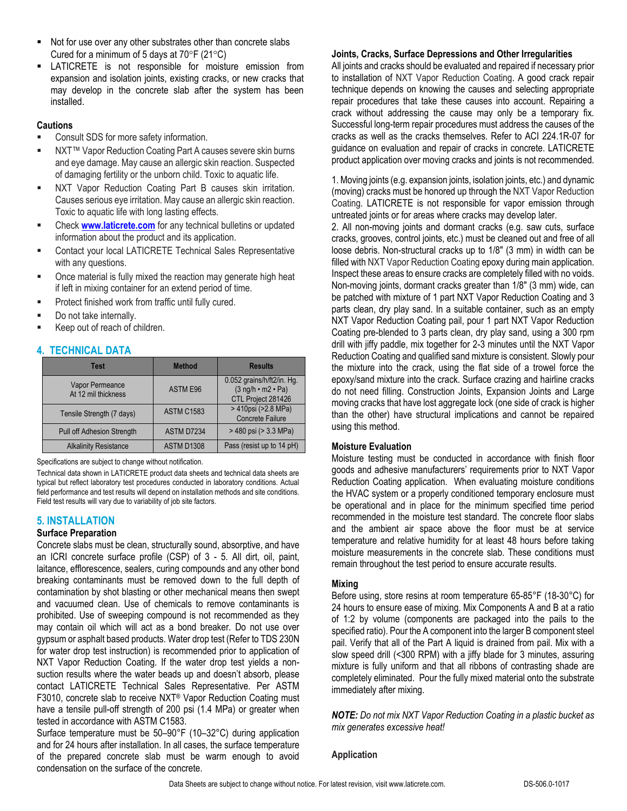- Not for use over any other substrates other than concrete slabs Cured for a minimum of 5 days at  $70^{\circ}F(21^{\circ}C)$
- LATICRETE is not responsible for moisture emission from expansion and isolation joints, existing cracks, or new cracks that may develop in the concrete slab after the system has been installed.

#### **Cautions**

- Consult SDS for more safety information.
- NXT™ Vapor Reduction Coating Part A causes severe skin burns and eye damage. May cause an allergic skin reaction. Suspected of damaging fertility or the unborn child. Toxic to aquatic life.
- NXT Vapor Reduction Coating Part B causes skin irritation. Causes serious eye irritation. May cause an allergic skin reaction. Toxic to aquatic life with long lasting effects.
- Check **[www.laticrete.com](http://www.laticrete.com/)** for any technical bulletins or updated information about the product and its application.
- Contact your local LATICRETE Technical Sales Representative with any questions.
- Once material is fully mixed the reaction may generate high heat if left in mixing container for an extend period of time.
- Protect finished work from traffic until fully cured.
- Do not take internally.
- Keep out of reach of children.

# **4. TECHNICAL DATA**

| <b>Test</b>                            | <b>Method</b>     | <b>Results</b>                                                                        |
|----------------------------------------|-------------------|---------------------------------------------------------------------------------------|
| Vapor Permeance<br>At 12 mil thickness | <b>ASTM E96</b>   | 0.052 grains/h/ft2/in. Hg.<br>$(3 \nmid ngh \cdot m2 \cdot Pa)$<br>CTL Project 281426 |
| Tensile Strength (7 days)              | <b>ASTM C1583</b> | > 410psi (>2.8 MPa)<br><b>Concrete Failure</b>                                        |
| <b>Pull off Adhesion Strength</b>      | ASTM D7234        | > 480 psi (> 3.3 MPa)                                                                 |
| <b>Alkalinity Resistance</b>           | ASTM D1308        | Pass (resist up to 14 pH)                                                             |

Specifications are subject to change without notification.

Technical data shown in LATICRETE product data sheets and technical data sheets are typical but reflect laboratory test procedures conducted in laboratory conditions. Actual field performance and test results will depend on installation methods and site conditions. Field test results will vary due to variability of job site factors.

# **5. INSTALLATION**

#### **Surface Preparation**

Concrete slabs must be clean, structurally sound, absorptive, and have an ICRI concrete surface profile (CSP) of 3 - 5. All dirt, oil, paint, laitance, efflorescence, sealers, curing compounds and any other bond breaking contaminants must be removed down to the full depth of contamination by shot blasting or other mechanical means then swept and vacuumed clean. Use of chemicals to remove contaminants is prohibited. Use of sweeping compound is not recommended as they may contain oil which will act as a bond breaker. Do not use over gypsum or asphalt based products. Water drop test (Refer to TDS 230N for water drop test instruction) is recommended prior to application of NXT Vapor Reduction Coating. If the water drop test yields a nonsuction results where the water beads up and doesn't absorb, please contact LATICRETE Technical Sales Representative. Per ASTM F3010, concrete slab to receive NXT® Vapor Reduction Coating must have a tensile pull-off strength of 200 psi (1.4 MPa) or greater when tested in accordance with ASTM C1583.

Surface temperature must be 50–90°F (10–32°C) during application and for 24 hours after installation. In all cases, the surface temperature of the prepared concrete slab must be warm enough to avoid condensation on the surface of the concrete.

#### **Joints, Cracks, Surface Depressions and Other Irregularities**

All joints and cracks should be evaluated and repaired if necessary prior to installation of NXT Vapor Reduction Coating. A good crack repair technique depends on knowing the causes and selecting appropriate repair procedures that take these causes into account. Repairing a crack without addressing the cause may only be a temporary fix. Successful long-term repair procedures must address the causes of the cracks as well as the cracks themselves. Refer to ACI 224.1R-07 for guidance on evaluation and repair of cracks in concrete. LATICRETE product application over moving cracks and joints is not recommended.

1. Moving joints (e.g. expansion joints, isolation joints, etc.) and dynamic (moving) cracks must be honored up through the NXT Vapor Reduction Coating. LATICRETE is not responsible for vapor emission through untreated joints or for areas where cracks may develop later.

2. All non-moving joints and dormant cracks (e.g. saw cuts, surface cracks, grooves, control joints, etc.) must be cleaned out and free of all loose debris. Non-structural cracks up to 1/8" (3 mm) in width can be filled with NXT Vapor Reduction Coating epoxy during main application. Inspect these areas to ensure cracks are completely filled with no voids. Non-moving joints, dormant cracks greater than 1/8" (3 mm) wide, can be patched with mixture of 1 part NXT Vapor Reduction Coating and 3 parts clean, dry play sand. In a suitable container, such as an empty NXT Vapor Reduction Coating pail, pour 1 part NXT Vapor Reduction Coating pre-blended to 3 parts clean, dry play sand, using a 300 rpm drill with jiffy paddle, mix together for 2-3 minutes until the NXT Vapor Reduction Coating and qualified sand mixture is consistent. Slowly pour the mixture into the crack, using the flat side of a trowel force the epoxy/sand mixture into the crack. Surface crazing and hairline cracks do not need filling. Construction Joints, Expansion Joints and Large moving cracks that have lost aggregate lock (one side of crack is higher than the other) have structural implications and cannot be repaired using this method.

# **Moisture Evaluation**

Moisture testing must be conducted in accordance with finish floor goods and adhesive manufacturers' requirements prior to NXT Vapor Reduction Coating application. When evaluating moisture conditions the HVAC system or a properly conditioned temporary enclosure must be operational and in place for the minimum specified time period recommended in the moisture test standard. The concrete floor slabs and the ambient air space above the floor must be at service temperature and relative humidity for at least 48 hours before taking moisture measurements in the concrete slab. These conditions must remain throughout the test period to ensure accurate results.

#### **Mixing**

Before using, store resins at room temperature 65-85°F (18-30°C) for 24 hours to ensure ease of mixing. Mix Components A and B at a ratio of 1:2 by volume (components are packaged into the pails to the specified ratio). Pour the A component into the larger B component steel pail. Verify that all of the Part A liquid is drained from pail. Mix with a slow speed drill (<300 RPM) with a jiffy blade for 3 minutes, assuring mixture is fully uniform and that all ribbons of contrasting shade are completely eliminated. Pour the fully mixed material onto the substrate immediately after mixing.

*NOTE: Do not mix NXT Vapor Reduction Coating in a plastic bucket as mix generates excessive heat!*

#### **Application**